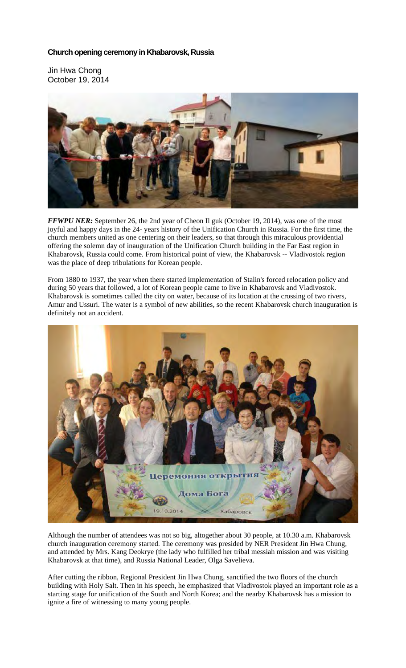## **Church opening ceremony in Khabarovsk, Russia**

Jin Hwa Chong October 19, 2014



*FFWPU NER:* September 26, the 2nd year of Cheon Il guk (October 19, 2014), was one of the most joyful and happy days in the 24- years history of the Unification Church in Russia. For the first time, the church members united as one centering on their leaders, so that through this miraculous providential offering the solemn day of inauguration of the Unification Church building in the Far East region in Khabarovsk, Russia could come. From historical point of view, the Khabarovsk -- Vladivostok region was the place of deep tribulations for Korean people.

From 1880 to 1937, the year when there started implementation of Stalin's forced relocation policy and during 50 years that followed, a lot of Korean people came to live in Khabarovsk and Vladivostok. Khabarovsk is sometimes called the city on water, because of its location at the crossing of two rivers, Amur and Ussuri. The water is a symbol of new abilities, so the recent Khabarovsk church inauguration is definitely not an accident.



Although the number of attendees was not so big, altogether about 30 people, at 10.30 a.m. Khabarovsk church inauguration ceremony started. The ceremony was presided by NER President Jin Hwa Chung, and attended by Mrs. Kang Deokrye (the lady who fulfilled her tribal messiah mission and was visiting Khabarovsk at that time), and Russia National Leader, Olga Savelieva.

After cutting the ribbon, Regional President Jin Hwa Chung, sanctified the two floors of the church building with Holy Salt. Then in his speech, he emphasized that Vladivostok played an important role as a starting stage for unification of the South and North Korea; and the nearby Khabarovsk has a mission to ignite a fire of witnessing to many young people.